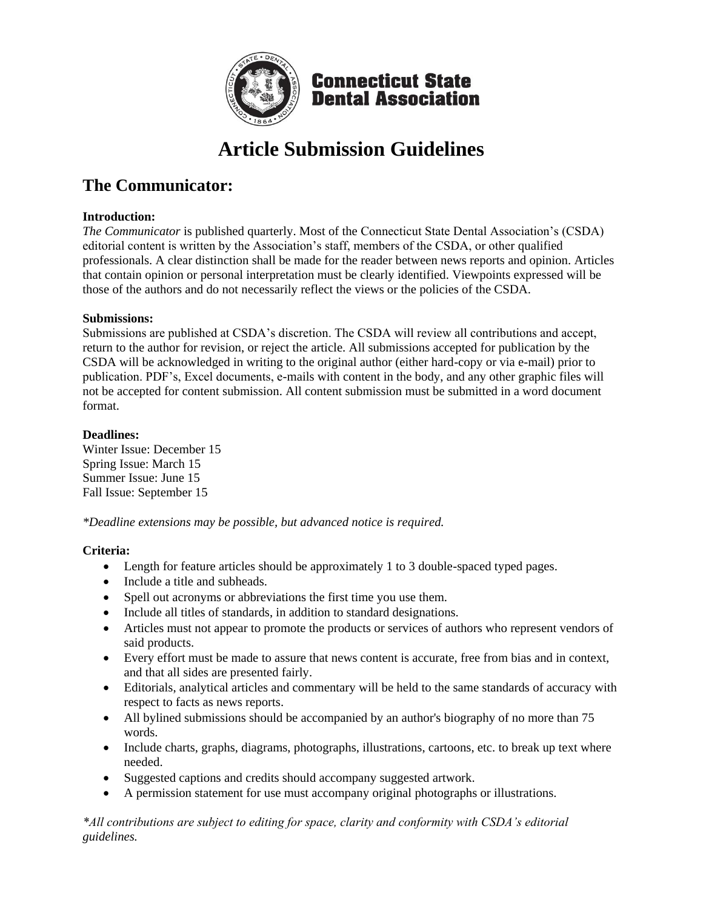

# **Article Submission Guidelines**

# **The Communicator:**

### **Introduction:**

*The Communicator* is published quarterly. Most of the Connecticut State Dental Association's (CSDA) editorial content is written by the Association's staff, members of the CSDA, or other qualified professionals. A clear distinction shall be made for the reader between news reports and opinion. Articles that contain opinion or personal interpretation must be clearly identified. Viewpoints expressed will be those of the authors and do not necessarily reflect the views or the policies of the CSDA.

## **Submissions:**

Submissions are published at CSDA's discretion. The CSDA will review all contributions and accept, return to the author for revision, or reject the article. All submissions accepted for publication by the CSDA will be acknowledged in writing to the original author (either hard-copy or via e-mail) prior to publication. PDF's, Excel documents, e-mails with content in the body, and any other graphic files will not be accepted for content submission. All content submission must be submitted in a word document format.

## **Deadlines:**

Winter Issue: December 15 Spring Issue: March 15 Summer Issue: June 15 Fall Issue: September 15

*\*Deadline extensions may be possible, but advanced notice is required.* 

# **Criteria:**

- Length for feature articles should be approximately 1 to 3 double-spaced typed pages.
- Include a title and subheads.
- Spell out acronyms or abbreviations the first time you use them.
- Include all titles of standards, in addition to standard designations.
- Articles must not appear to promote the products or services of authors who represent vendors of said products.
- Every effort must be made to assure that news content is accurate, free from bias and in context, and that all sides are presented fairly.
- Editorials, analytical articles and commentary will be held to the same standards of accuracy with respect to facts as news reports.
- All bylined submissions should be accompanied by an author's biography of no more than 75 words.
- Include charts, graphs, diagrams, photographs, illustrations, cartoons, etc. to break up text where needed.
- Suggested captions and credits should accompany suggested artwork.
- A permission statement for use must accompany original photographs or illustrations.

*\*All contributions are subject to editing for space, clarity and conformity with CSDA's editorial guidelines.*